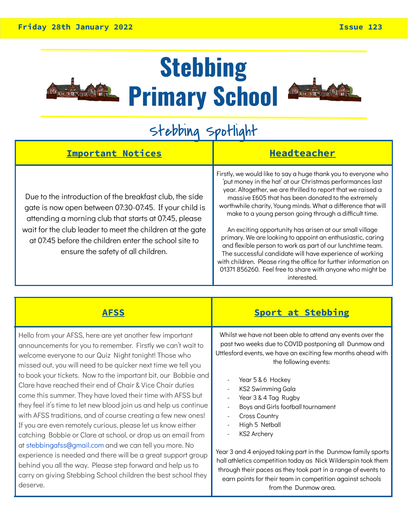

# **Stebbing Primary School**



# Stebbing Spotlight

| <b>Important Notices</b>                                                                                                                                                                                                                                                                                                               | <b>Headteacher</b>                                                                                                                                                                                                                                                                                                                                                                                                                                                                                                                                                                                                                                                                                                                                                              |
|----------------------------------------------------------------------------------------------------------------------------------------------------------------------------------------------------------------------------------------------------------------------------------------------------------------------------------------|---------------------------------------------------------------------------------------------------------------------------------------------------------------------------------------------------------------------------------------------------------------------------------------------------------------------------------------------------------------------------------------------------------------------------------------------------------------------------------------------------------------------------------------------------------------------------------------------------------------------------------------------------------------------------------------------------------------------------------------------------------------------------------|
| Due to the introduction of the breakfast club, the side<br>gate is now open between 07:30-07:45. If your child is<br>attending a morning club that starts at 07:45, please<br>wait for the club leader to meet the children at the gate<br>at 07:45 before the children enter the school site to<br>ensure the safety of all children. | Firstly, we would like to say a huge thank you to everyone who<br>'put money in the hat' at our Christmas performances last<br>year. Altogether, we are thrilled to report that we raised a<br>massive £605 that has been donated to the extremely<br>worthwhile charity, Young minds. What a difference that will<br>make to a young person going through a difficult time.<br>An exciting opportunity has arisen at our small village<br>primary. We are looking to appoint an enthusiastic, caring<br>and flexible person to work as part of our lunchtime team.<br>The successful candidate will have experience of working<br>with children. Please ring the office for further information on<br>01371 856260. Feel free to share with anyone who might be<br>interested. |

Hello from your AFSS, here are yet another few important announcements for you to remember. Firstly we can't wait to welcome everyone to our Quiz Night tonight! Those who missed out, you will need to be quicker next time we tell you to book your tickets. Now to the important bit, our Bobbie and Clare have reached their end of Chair & Vice Chair duties come this summer. They have loved their time with AFSS but they feel it's time to let new blood join us and help us continue with AFSS traditions, and of course creating a few new ones! If you are even remotely curious, please let us know either catching Bobbie or Clare at school, or drop us an email from at stebbingafss@gmail.com and we can tell you more. No experience is needed and there will be a great support group behind you all the way. Please step forward and help us to carry on giving Stebbing School children the best school they deserve.

#### **AFSS Sport at Stebbing**

Whilst we have not been able to attend any events over the past two weeks due to COVID postponing all Dunmow and Uttlesford events, we have an exciting few months ahead with the following events:

- Year 5 & 6 Hockey
- KS2 Swimming Gala
- Year 3 & 4 Tag Rugby
- Boys and Girls football tournament
- Cross Country
- High 5 Netball
- KS2 Archery

Year 3 and 4 enjoyed taking part in the Dunmow family sports hall athletics competition today as Nick Wilderspin took them through their paces as they took part in a range of events to earn points for their team in competition against schools from the Dunmow area.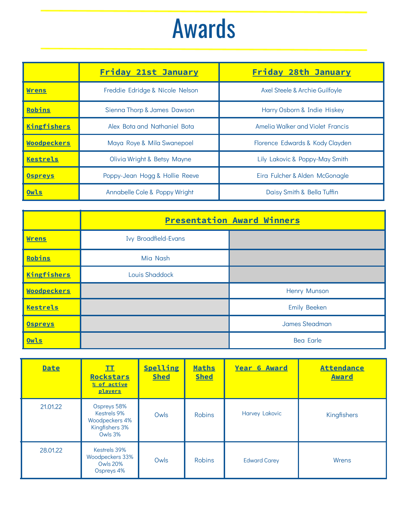# Awards

|                    | <b>Friday 21st January</b>                                       | Friday 28th January              |
|--------------------|------------------------------------------------------------------|----------------------------------|
| Wrens              | Freddie Edridge & Nicole Nelson                                  | Axel Steele & Archie Guilfoyle   |
| Robins             | Sienna Thorp & James Dawson                                      | Harry Osborn & Indie Hiskey      |
| <b>Kingfishers</b> | Alex Bota and Nathaniel Bota                                     | Amelia Walker and Violet Francis |
| <b>Woodpeckers</b> | Maya Roye & Mila Swanepoel                                       | Florence Edwards & Kody Clayden  |
| Kestrels           | Olivia Wright & Betsy Mayne<br>Lily Lakovic & Poppy-May Smith    |                                  |
| <b>Ospreys</b>     | Poppy-Jean Hogg & Hollie Reeve<br>Eira Fulcher & Alden McGonagle |                                  |
| Owls               | Annabelle Cole & Poppy Wright                                    | Daisy Smith & Bella Tuffin       |

|                    | <b>Presentation Award Winners</b> |                     |  |
|--------------------|-----------------------------------|---------------------|--|
| <b>Wrens</b>       | <b>Ivy Broadfield-Evans</b>       |                     |  |
| Robins             | Mia Nash                          |                     |  |
| <b>Kingfishers</b> | Louis Shaddock                    |                     |  |
| <b>Woodpeckers</b> |                                   | Henry Munson        |  |
| <b>Kestrels</b>    |                                   | <b>Emily Beeken</b> |  |
| <b>Ospreys</b>     |                                   | James Steadman      |  |
| Owls               |                                   | <b>Bea Earle</b>    |  |

| <b>Date</b> | $\mathbf{I}$<br><b>Rockstars</b><br>% of active<br>players                | <b>Spelling</b><br><b>Shed</b> | Maths<br><b>Shed</b> | Year 6 Award          | <b>Attendance</b><br><b>Award</b> |
|-------------|---------------------------------------------------------------------------|--------------------------------|----------------------|-----------------------|-----------------------------------|
| 21.01.22    | Ospreys 58%<br>Kestrels 9%<br>Woodpeckers 4%<br>Kingfishers 3%<br>Owls 3% | Owls                           | <b>Robins</b>        | <b>Harvey Lakovic</b> | Kingfishers                       |
| 28.01.22    | Kestrels 39%<br>Woodpeckers 33%<br><b>Owls 20%</b><br>Ospreys 4%          | Owls                           | <b>Robins</b>        | <b>Edward Carey</b>   | Wrens                             |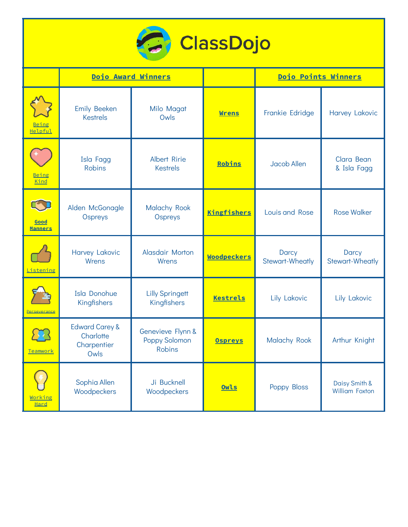

|                        | Dojo Award Winners                                            |                                                     |                    | Dojo Points Winners                    |                                        |
|------------------------|---------------------------------------------------------------|-----------------------------------------------------|--------------------|----------------------------------------|----------------------------------------|
| Being<br>Helpful       | <b>Emily Beeken</b><br><b>Kestrels</b>                        | Milo Magat<br>Owls                                  | <b>Wrens</b>       | Frankie Edridge                        | Harvey Lakovic                         |
| Being<br>Kind          | Isla Fagg<br><b>Robins</b>                                    | <b>Albert Ririe</b><br><b>Kestrels</b>              | Robins             | Jacob Allen                            | Clara Bean<br>& Isla Fagg              |
| Good<br><b>Manners</b> | Alden McGonagle<br>Ospreys                                    | <b>Malachy Rook</b><br>Ospreys                      | <b>Kingfishers</b> | Louis and Rose                         | <b>Rose Walker</b>                     |
| Listening              | Harvey Lakovic<br>Wrens                                       | Alasdair Morton<br>Wrens                            | <b>Woodpeckers</b> | <b>Darcy</b><br><b>Stewart-Wheatly</b> | <b>Darcy</b><br><b>Stewart-Wheatly</b> |
|                        | Isla Donohue<br>Kingfishers                                   | <b>Lilly Springett</b><br>Kingfishers               | <b>Kestrels</b>    | Lily Lakovic                           | Lily Lakovic                           |
| Teamwork               | <b>Edward Carey &amp;</b><br>Charlotte<br>Charpentier<br>Owls | Genevieve Flynn &<br>Poppy Solomon<br><b>Robins</b> | <b>Ospreys</b>     | Malachy Rook                           | Arthur Knight                          |
| Working<br>Hard        | Sophia Allen<br>Woodpeckers                                   | Ji Bucknell<br>Woodpeckers                          | Owls               | Poppy Bloss                            | Daisy Smith &<br><b>William Foxton</b> |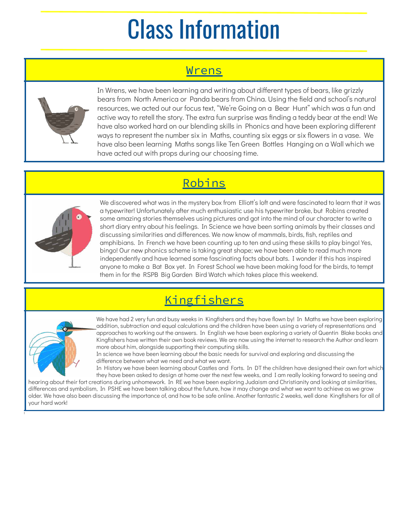# Class Information

### Wrens



In Wrens, we have been learning and writing about different types of bears, like grizzly bears from North America or Panda bears from China. Using the field and school's natural resources, we acted out our focus text, "We're Going on a Bear Hunt" which was a fun and active way to retell the story. The extra fun surprise was finding a teddy bear at the end! We have also worked hard on our blending skills in Phonics and have been exploring different ways to represent the number six in Maths, counting six eggs or six flowers in a vase. We have also been learning Maths songs like Ten Green Bottles Hanging on a Wall which we have acted out with props during our choosing time.

# **Robins**



We discovered what was in the mystery box from Elliott's loft and were fascinated to learn that it was a typewriter! Unfortunately after much enthusiastic use his typewriter broke, but Robins created some amazing stories themselves using pictures and got into the mind of our character to write a short diary entry about his feelings. In Science we have been sorting animals by their classes and discussing similarities and differences. We now know of mammals, birds, fish, reptiles and amphibians. In French we have been counting up to ten and using these skills to play bingo! Yes, bingo! Our new phonics scheme is taking great shape; we have been able to read much more independently and have learned some fascinating facts about bats. I wonder if this has inspired anyone to make a Bat Box yet. In Forest School we have been making food for the birds, to tempt them in for the RSPB Big Garden Bird Watch which takes place this weekend.

## **Kingfishers**



t

We have had 2 very fun and busy weeks in Kingfishers and they have flown by! In Maths we have been exploring addition, subtraction and equal calculations and the children have been using a variety of representations and approaches to working out the answers. In English we have been exploring a variety of Quentin Blake books and Kingfishers have written their own book reviews. We are now using the internet to research the Author and learn more about him, alongside supporting their computing skills.

In science we have been learning about the basic needs for survival and exploring and discussing the difference between what we need and what we want.

In History we have been learning about Castles and Forts. In DT the children have designed their own fort which they have been asked to design at home over the next few weeks, and I am really looking forward to seeing and

hearing about their fort creations during unhomework. In RE we have been exploring Judaism and Christianity and looking at similarities, differences and symbolism, In PSHE we have been talking about the future, how it may change and what we want to achieve as we grow older. We have also been discussing the importance of, and how to be safe online. Another fantastic 2 weeks, well done Kingfishers for all of your hard work!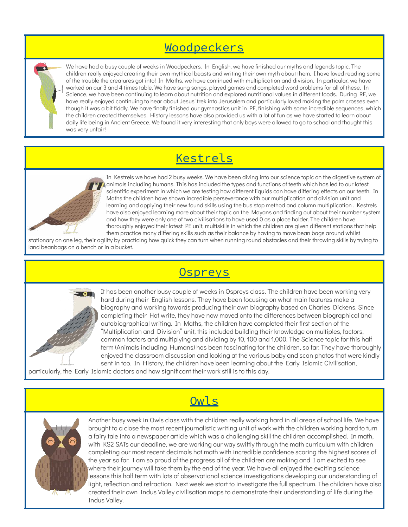### Woodpeckers

We have had a busy couple of weeks in Woodpeckers. In English, we have finished our myths and legends topic. The children really enjoyed creating their own mythical beasts and writing their own myth about them. I have loved reading some of the trouble the creatures got into! In Maths, we have continued with multiplication and division. In particular, we have worked on our 3 and 4 times table. We have sung songs, played games and completed word problems for all of these. In Science, we have been continuing to learn about nutrition and explored nutritional values in different foods. During RE, we have really enjoyed continuing to hear about Jesus' trek into Jerusalem and particularly loved making the palm crosses even though it was a bit fiddly. We have finally finished our gymnastics unit in PE, finishing with some incredible sequences, which the children created themselves. History lessons have also provided us with a lot of fun as we have started to learn about daily life being in Ancient Greece. We found it very interesting that only boys were allowed to go to school and thought this was very unfair!

### Kestrels



In Kestrels we have had 2 busy weeks. We have been diving into our science topic on the digestive system of animals including humans. This has included the types and functions of teeth which has led to our latest scientific experiment in which we are testing how different liquids can have differing effects on our teeth. In Maths the children have shown incredible perseverance with our multiplication and division unit and learning and applying their new found skills using the bus stop method and column multiplication . Kestrels have also enjoyed learning more about their topic on the Mayans and finding out about their number system and how they were only one of two civilisations to have used 0 as a place holder. The children have thoroughly enjoyed their latest PE unit, multiskills in which the children are given different stations that help them practice many differing skills such as their balance by having to move bean bags around whilst

stationary on one leg, their agility by practicing how quick they can turn when running round obstacles and their throwing skills by trying to land beanbags on a bench or in a bucket.



### **Ospreys**

It has been another busy couple of weeks in Ospreys class. The children have been working very hard during their English lessons. They have been focusing on what main features make a biography and working towards producing their own biography based on Charles Dickens. Since completing their Hot write, they have now moved onto the differences between biographical and autobiographical writing. In Maths, the children have completed their first section of the "Multiplication and Division" unit, this included building their knowledge on multiples, factors, common factors and multiplying and dividing by 10, 100 and 1,000. The Science topic for this half term (Animals including Humans) has been fascinating for the children, so far. They have thoroughly enjoyed the classroom discussion and looking at the various baby and scan photos that were kindly sent in too. In History, the children have been learning about the Early Islamic Civilisation,

particularly, the Early Islamic doctors and how significant their work still is to this day.



### Owls

Another busy week in Owls class with the children really working hard in all areas of school life. We have brought to a close the most recent journalistic writing unit of work with the children working hard to turn a fairy tale into a newspaper article which was a challenging skill the children accomplished. In math, with KS2 SATs our deadline, we are working our way swiftly through the math curriculum with children completing our most recent decimals hot math with incredible confidence scoring the highest scores of the year so far. I am so proud of the progress all of the children are making and I am excited to see where their journey will take them by the end of the year. We have all enjoyed the exciting science lessons this half term with lots of observational science investigations developing our understanding of light, reflection and refraction. Next week we start to investigate the full spectrum. The children have also created their own Indus Valley civilisation maps to demonstrate their understanding of life during the Indus Valley.